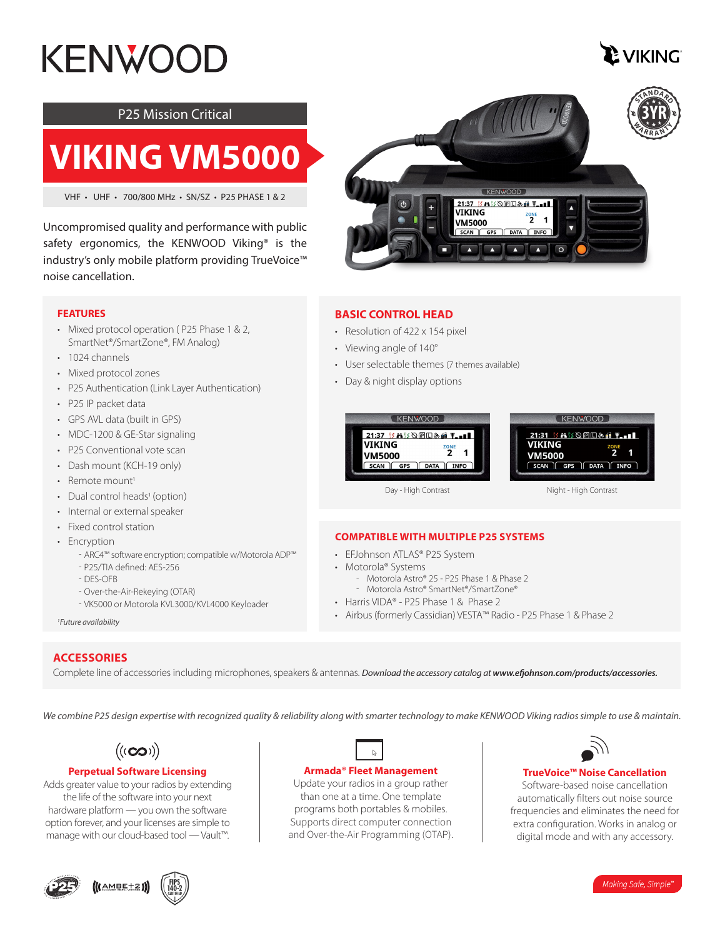# **KENWOOI**



#### P25 Mission Critical

## **VIKING VM5000**

VHF • UHF • 700/800 MHz • SN/SZ • P25 PHASE 1 & 2

Uncompromised quality and performance with public safety ergonomics, the KENWOOD Viking<sup>®</sup> is the industry's only mobile platform providing TrueVoice™ noise cancellation.

#### **FEATURES**

- Mixed protocol operation ( P25 Phase 1 & 2, SmartNet®/SmartZone®, FM Analog)
- 1024 channels
- Mixed protocol zones
- P25 Authentication (Link Layer Authentication)
- P25 IP packet data
- GPS AVL data (built in GPS)
- MDC-1200 & GE-Star signaling
- P25 Conventional vote scan
- Dash mount (KCH-19 only)
- Remote mount<sup>1</sup>
- Dual control heads<sup>1</sup> (option)
- Internal or external speaker
- Fixed control station
- Encryption
	- ʰ ARC4™ software encryption; compatible w/Motorola ADP™
	- P25/TIA defined: AES-256
	- DES-OFB
	- Over-the-Air-Rekeying (OTAR)
	- VK5000 or Motorola KVL3000/KVL4000 Keyloader

*1 Future availability*

#### **ACCESSORIES**

Complete line of accessories including microphones, speakers & antennas. *Download the accessory catalog at www.efjohnson.com/products/accessories.*

*We combine P25 design expertise with recognized quality & reliability along with smarter technology to make KENWOOD Viking radios simple to use & maintain.*

**Armada® Fleet Management** Update your radios in a group rather than one at a time. One template programs both portables & mobiles. Supports direct computer connection and Over-the-Air Programming (OTAP).



#### **Perpetual Software Licensing**

Adds greater value to your radios by extending the life of the software into your next hardware platform — you own the software option forever, and your licenses are simple to manage with our cloud-based tool — Vault™.







#### **BASIC CONTROL HEAD**

- Resolution of 422 x 154 pixel
- Viewing angle of 140°
- User selectable themes (7 themes available)
- Day & night display options

| <b>KENWOOD</b>                                                                                                                     | <b>KENWOOD</b>                                                                                                                                                           |
|------------------------------------------------------------------------------------------------------------------------------------|--------------------------------------------------------------------------------------------------------------------------------------------------------------------------|
| 21:37 35 8 33 2 30 30 30 5 5 8 10 11<br>VIKING<br><b>ZONE</b><br><b>VM5000</b><br><b>INFO</b><br><b>SCAN</b><br>GPS<br><b>DATA</b> | 21:31 20 32 32 32 32 4 5 5 6 7 8 9 8 9 8 9 8 9 8 9 9 9 9 8 9 8 9 9 9 9 9 9 9 9 9 9 9 9 9 9 9 9 9 9 9<br>VIKING<br>ZONE<br><b>VM5000</b><br>GPS    DATA    INFO<br>SCAN I |

Day - High Contrast

Night - High Contrast

#### **COMPATIBLE WITH MULTIPLE P25 SYSTEMS**

- EFJohnson ATLAS® P25 System
- Motorola® Systems
	- Motorola Astro® 25 P25 Phase 1 & Phase 2 - Motorola Astro® SmartNet®/SmartZone®
- Harris VIDA® P25 Phase 1 & Phase 2
- Airbus (formerly Cassidian) VESTA™ Radio P25 Phase 1 & Phase 2



#### **TrueVoice™ Noise Cancellation**

Software-based noise cancellation automatically filters out noise source frequencies and eliminates the need for extra configuration. Works in analog or digital mode and with any accessory.